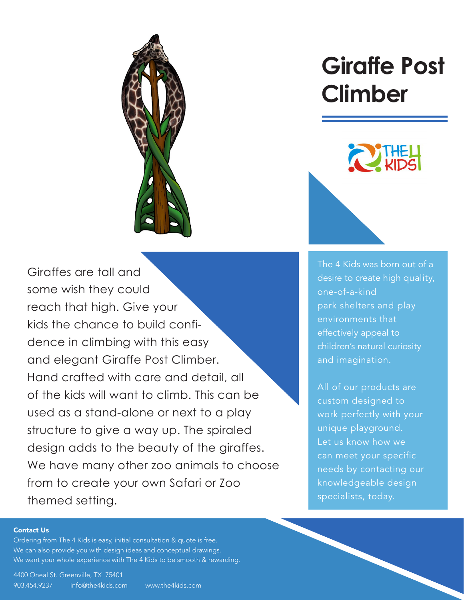

Giraffes are tall and some wish they could reach that high. Give your kids the chance to build confidence in climbing with this easy and elegant Giraffe Post Climber. Hand crafted with care and detail, all of the kids will want to climb. This can be used as a stand-alone or next to a play structure to give a way up. The spiraled design adds to the beauty of the giraffes. [We have many other zoo animals to choose](https://www.the4kids.com/product/giraffe-post-climber.html)  from to create your own Safari or Zoo themed setting.

# **[Giraffe Post](https://www.the4kids.com/products/safari-and-zoo/) Climber**



The 4 Kids was born out of a [desire to create high quality,](https://www.the4kids.com/about.html)  one-of-a-kind park shelters and play environments that effectively appeal to children's natural curiosity and imagination.

All of our products are custom designed to work perfectly with your unique playground. Let us know how we can meet your specific needs by contacting our knowledgeable design specialists, today.

#### [Contact Us](https://www.the4kids.com/contact-us.html)

Ordering fro[m The 4 Kids](https://www.the4kids.com/) is easy, initial consultation & quote is free. We can also provide you with design ideas and conceptual drawings. We want your whole experience with [The 4 Kids](https://www.the4kids.com/) to be smooth & rewarding.

[4400 Oneal St. Greenville, TX 75401](https://www.the4kids.com/contact-us.html) [903.454.9237](https://www.the4kids.com/contact-us.html) [info@the4kids.com](mailto:info%40the4kids.com?subject=) [www.the4kids.com](https://www.the4kids.com/)